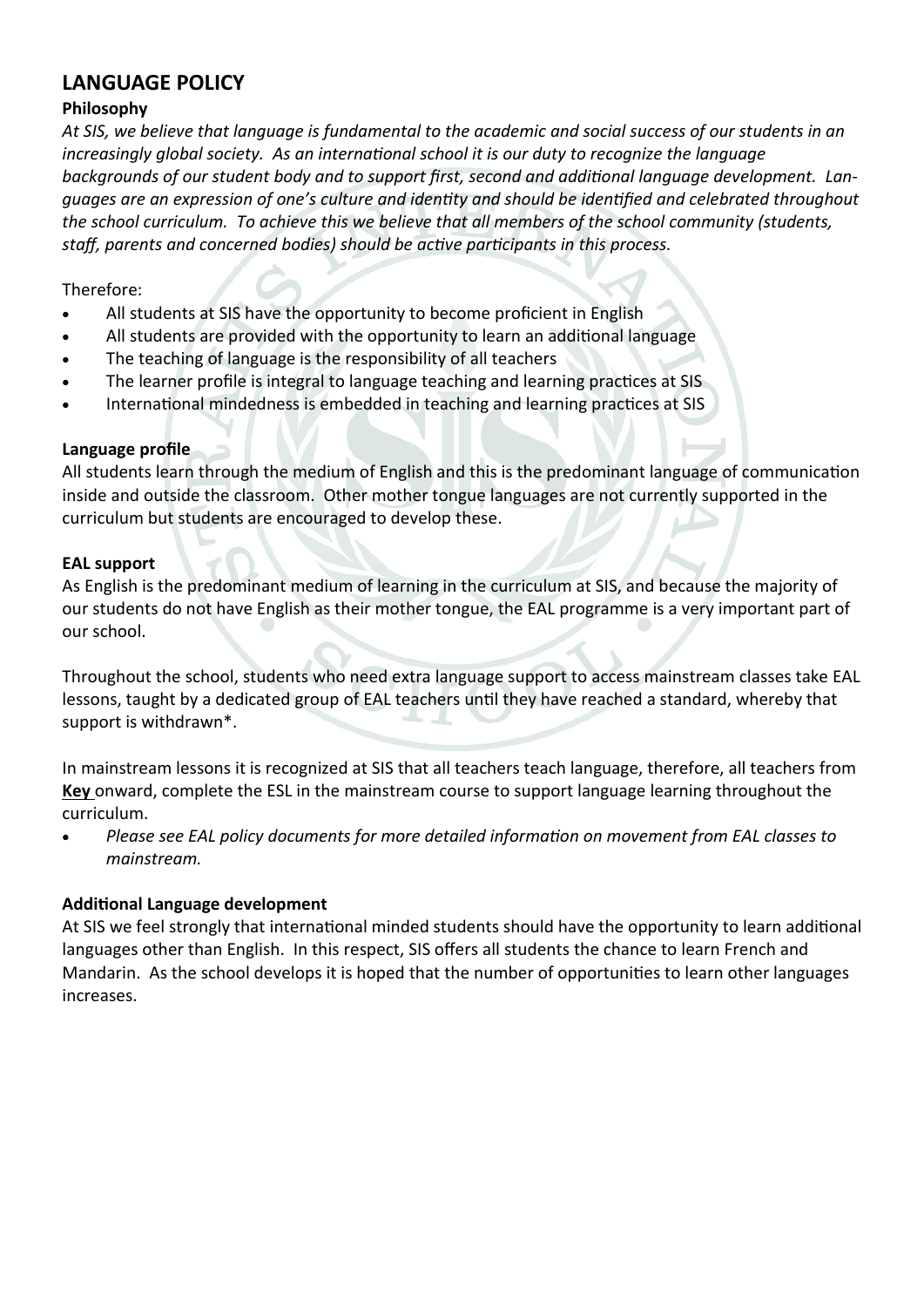# **LANGUAGE POLICY**

#### **Philosophy**

*At SIS, we believe that language is fundamental to the academic and social success of our students in an increasingly global society. As an international school it is our duty to recognize the language backgrounds of our student body and to support first, second and additional language development. Languages are an expression of one's culture and identity and should be identified and celebrated throughout the school curriculum. To achieve this we believe that all members of the school community (students, staff, parents and concerned bodies) should be active participants in this process.*

#### Therefore:

- All students at SIS have the opportunity to become proficient in English
- All students are provided with the opportunity to learn an additional language
- The teaching of language is the responsibility of all teachers
- The learner profile is integral to language teaching and learning practices at SIS
- International mindedness is embedded in teaching and learning practices at SIS

## **Language profile**

All students learn through the medium of English and this is the predominant language of communication inside and outside the classroom. Other mother tongue languages are not currently supported in the curriculum but students are encouraged to develop these.

## **EAL support**

As English is the predominant medium of learning in the curriculum at SIS, and because the majority of our students do not have English as their mother tongue, the EAL programme is a very important part of our school.

Throughout the school, students who need extra language support to access mainstream classes take EAL lessons, taught by a dedicated group of EAL teachers until they have reached a standard, whereby that support is withdrawn\*.

In mainstream lessons it is recognized at SIS that all teachers teach language, therefore, all teachers from **Key** onward, complete the ESL in the mainstream course to support language learning throughout the curriculum.

 *Please see EAL policy documents for more detailed information on movement from EAL classes to mainstream.*

# **Additional Language development**

At SIS we feel strongly that international minded students should have the opportunity to learn additional languages other than English. In this respect, SIS offers all students the chance to learn French and Mandarin. As the school develops it is hoped that the number of opportunities to learn other languages increases.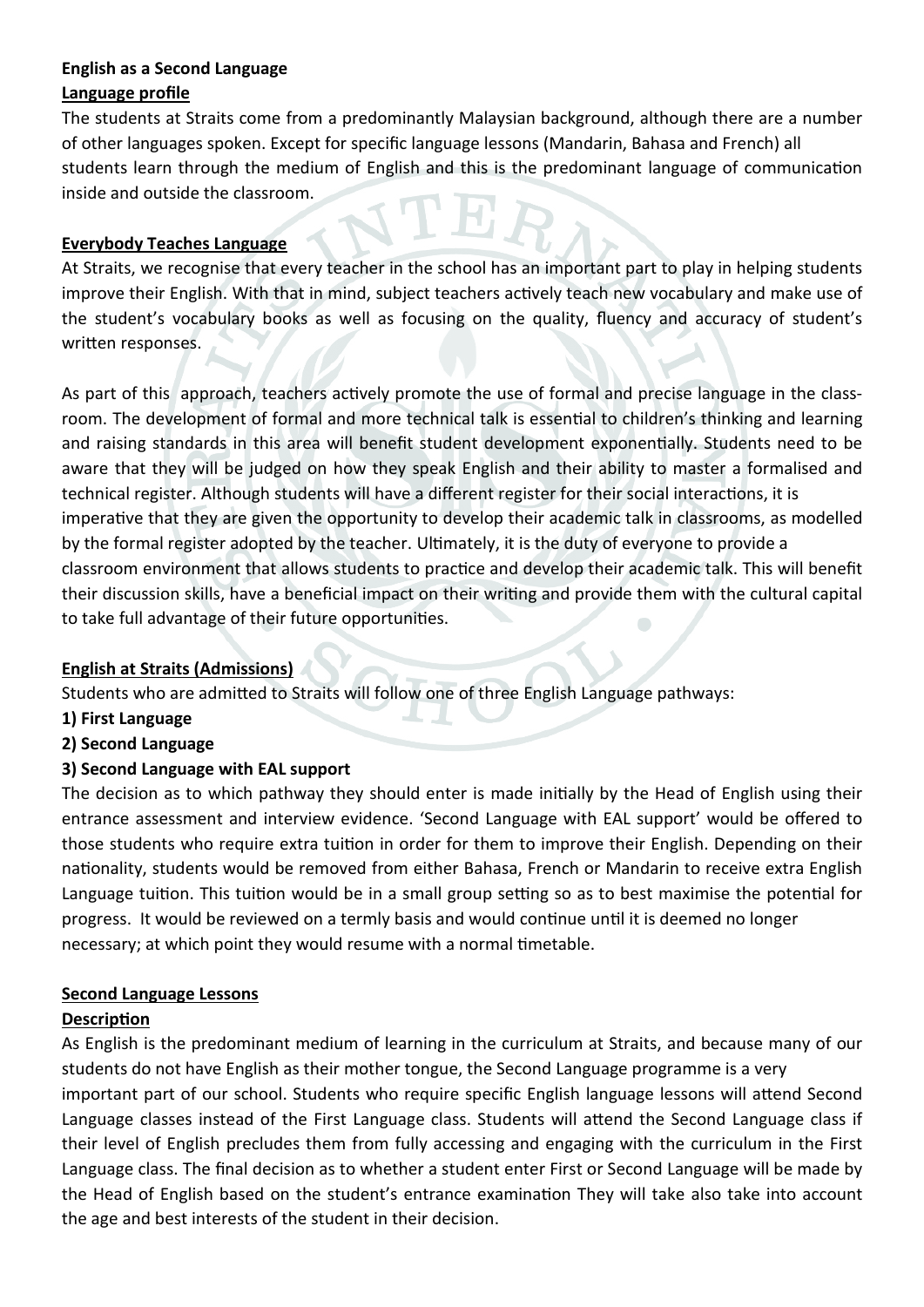#### **English as a Second Language Language profile**

The students at Straits come from a predominantly Malaysian background, although there are a number of other languages spoken. Except for specific language lessons (Mandarin, Bahasa and French) all students learn through the medium of English and this is the predominant language of communication inside and outside the classroom.

## **Everybody Teaches Language**

At Straits, we recognise that every teacher in the school has an important part to play in helping students improve their English. With that in mind, subject teachers actively teach new vocabulary and make use of the student's vocabulary books as well as focusing on the quality, fluency and accuracy of student's written responses.

As part of this approach, teachers actively promote the use of formal and precise language in the classroom. The development of formal and more technical talk is essential to children's thinking and learning and raising standards in this area will benefit student development exponentially. Students need to be aware that they will be judged on how they speak English and their ability to master a formalised and technical register. Although students will have a different register for their social interactions, it is imperative that they are given the opportunity to develop their academic talk in classrooms, as modelled by the formal register adopted by the teacher. Ultimately, it is the duty of everyone to provide a classroom environment that allows students to practice and develop their academic talk. This will benefit their discussion skills, have a beneficial impact on their writing and provide them with the cultural capital to take full advantage of their future opportunities.

#### **English at Straits (Admissions)**

Students who are admitted to Straits will follow one of three English Language pathways:

- **1) First Language**
- **2) Second Language**

# **3) Second Language with EAL support**

The decision as to which pathway they should enter is made initially by the Head of English using their entrance assessment and interview evidence. 'Second Language with EAL support' would be offered to those students who require extra tuition in order for them to improve their English. Depending on their nationality, students would be removed from either Bahasa, French or Mandarin to receive extra English Language tuition. This tuition would be in a small group setting so as to best maximise the potential for progress. It would be reviewed on a termly basis and would continue until it is deemed no longer necessary; at which point they would resume with a normal timetable.

#### **Second Language Lessons**

#### **Description**

As English is the predominant medium of learning in the curriculum at Straits, and because many of our students do not have English as their mother tongue, the Second Language programme is a very important part of our school. Students who require specific English language lessons will attend Second Language classes instead of the First Language class. Students will attend the Second Language class if their level of English precludes them from fully accessing and engaging with the curriculum in the First Language class. The final decision as to whether a student enter First or Second Language will be made by the Head of English based on the student's entrance examination They will take also take into account the age and best interests of the student in their decision.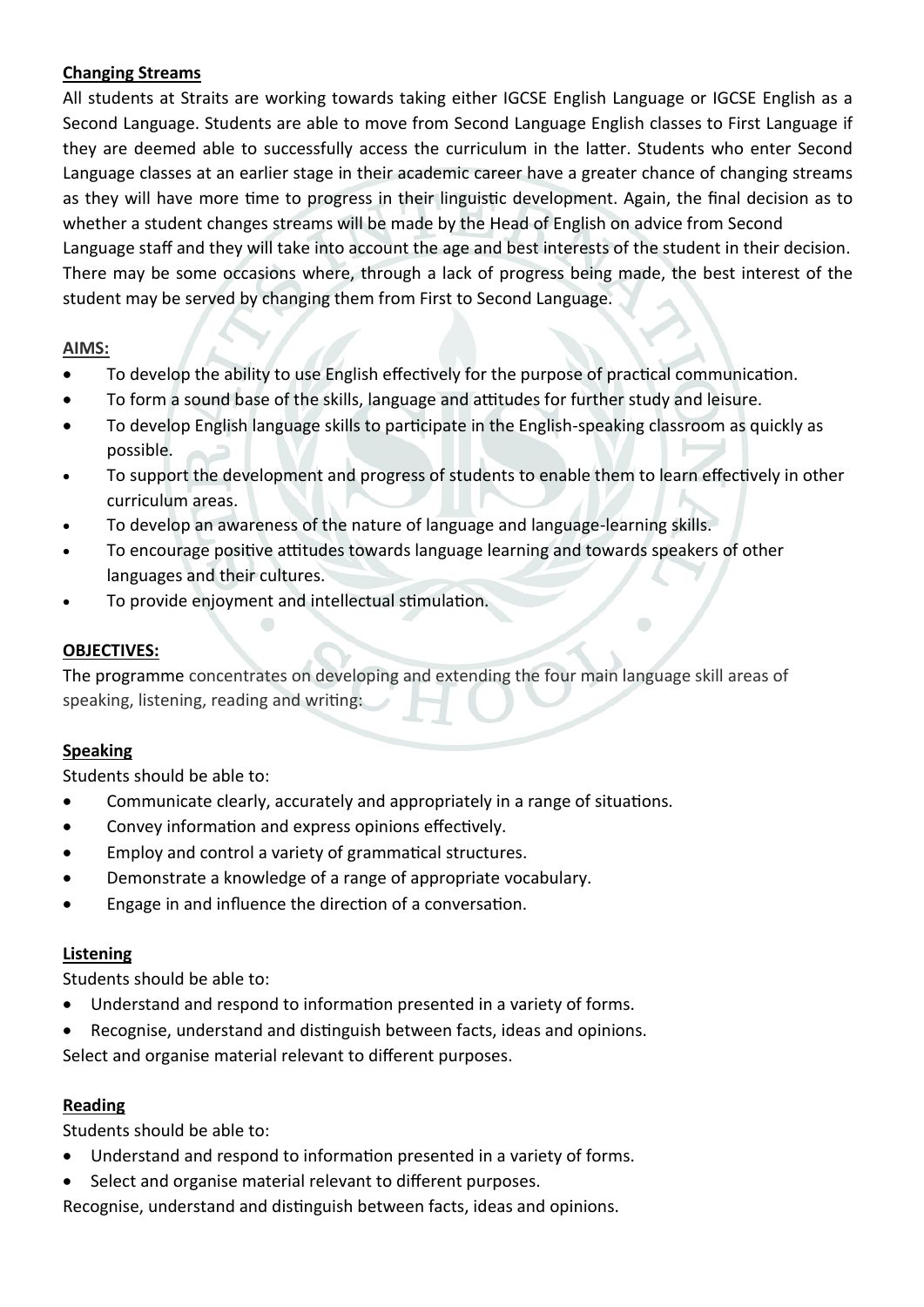## **Changing Streams**

All students at Straits are working towards taking either IGCSE English Language or IGCSE English as a Second Language. Students are able to move from Second Language English classes to First Language if they are deemed able to successfully access the curriculum in the latter. Students who enter Second Language classes at an earlier stage in their academic career have a greater chance of changing streams as they will have more time to progress in their linguistic development. Again, the final decision as to whether a student changes streams will be made by the Head of English on advice from Second Language staff and they will take into account the age and best interests of the student in their decision. There may be some occasions where, through a lack of progress being made, the best interest of the student may be served by changing them from First to Second Language.

## **AIMS:**

- To develop the ability to use English effectively for the purpose of practical communication.
- To form a sound base of the skills, language and attitudes for further study and leisure.
- To develop English language skills to participate in the English-speaking classroom as quickly as possible.
- To support the development and progress of students to enable them to learn effectively in other curriculum areas.
- To develop an awareness of the nature of language and language-learning skills.
- To encourage positive attitudes towards language learning and towards speakers of other languages and their cultures.
- To provide enjoyment and intellectual stimulation.

# **OBJECTIVES:**

The programme concentrates on developing and extending the four main language skill areas of speaking, listening, reading and writing:

#### **Speaking**

Students should be able to:

- Communicate clearly, accurately and appropriately in a range of situations.
- Convey information and express opinions effectively.
- Employ and control a variety of grammatical structures.
- Demonstrate a knowledge of a range of appropriate vocabulary.
- Engage in and influence the direction of a conversation.

#### **Listening**

Students should be able to:

- Understand and respond to information presented in a variety of forms.
- Recognise, understand and distinguish between facts, ideas and opinions.

Select and organise material relevant to different purposes.

#### **Reading**

Students should be able to:

- Understand and respond to information presented in a variety of forms.
- Select and organise material relevant to different purposes.

Recognise, understand and distinguish between facts, ideas and opinions.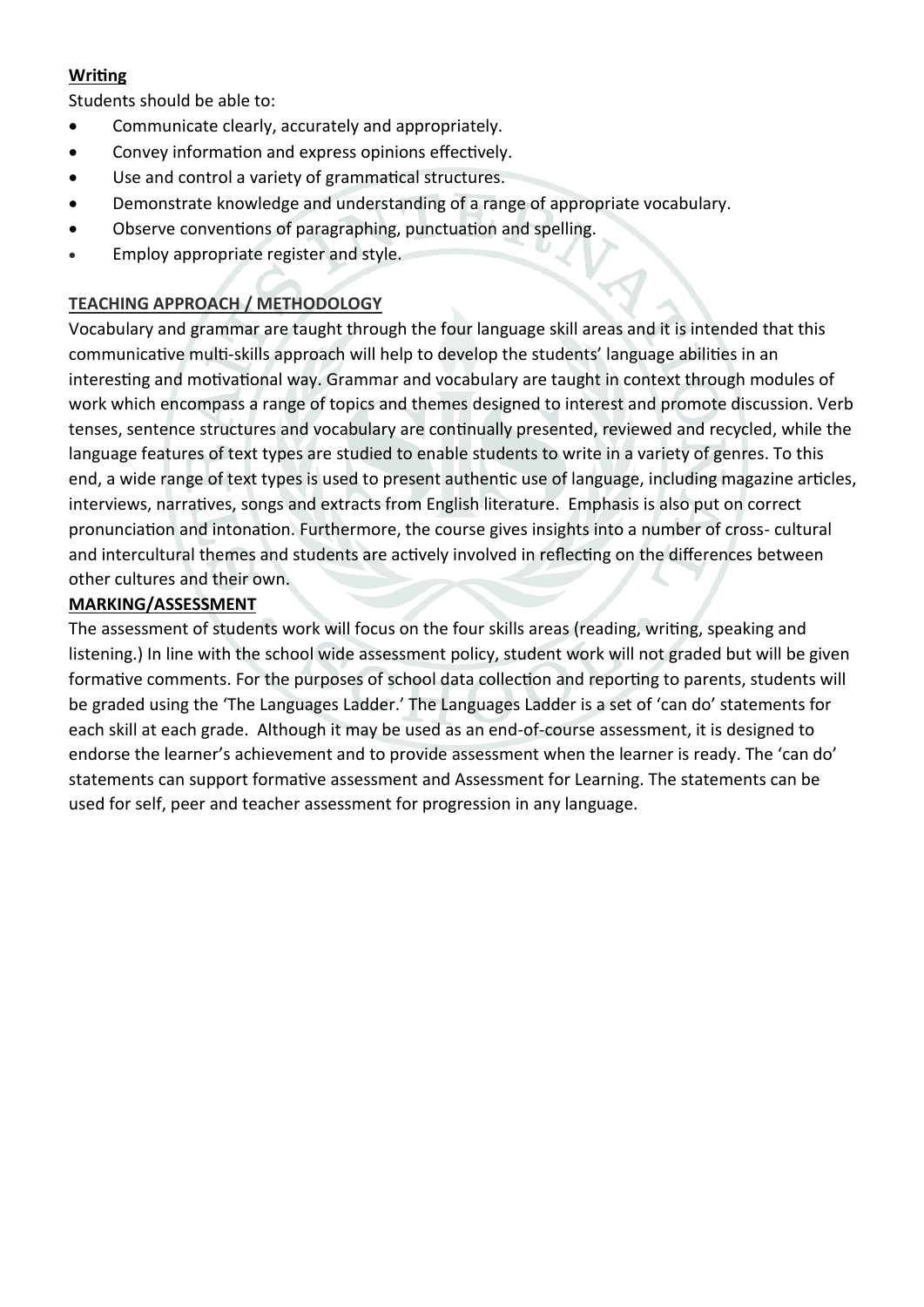# **Writing**

Students should be able to:

- Communicate clearly, accurately and appropriately.
- Convey information and express opinions effectively.
- Use and control a variety of grammatical structures.
- Demonstrate knowledge and understanding of a range of appropriate vocabulary.
- Observe conventions of paragraphing, punctuation and spelling.
- **Employ appropriate register and style.**

# **TEACHING APPROACH / METHODOLOGY**

Vocabulary and grammar are taught through the four language skill areas and it is intended that this communicative multi-skills approach will help to develop the students' language abilities in an interesting and motivational way. Grammar and vocabulary are taught in context through modules of work which encompass a range of topics and themes designed to interest and promote discussion. Verb tenses, sentence structures and vocabulary are continually presented, reviewed and recycled, while the language features of text types are studied to enable students to write in a variety of genres. To this end, a wide range of text types is used to present authentic use of language, including magazine articles, interviews, narratives, songs and extracts from English literature. Emphasis is also put on correct pronunciation and intonation. Furthermore, the course gives insights into a number of cross- cultural and intercultural themes and students are actively involved in reflecting on the differences between other cultures and their own.

# **MARKING/ASSESSMENT**

The assessment of students work will focus on the four skills areas (reading, writing, speaking and listening.) In line with the school wide assessment policy, student work will not graded but will be given formative comments. For the purposes of school data collection and reporting to parents, students will be graded using the 'The Languages Ladder.' The Languages Ladder is a set of 'can do' statements for each skill at each grade. Although it may be used as an end-of-course assessment, it is designed to endorse the learner's achievement and to provide assessment when the learner is ready. The 'can do' statements can support formative assessment and Assessment for Learning. The statements can be used for self, peer and teacher assessment for progression in any language.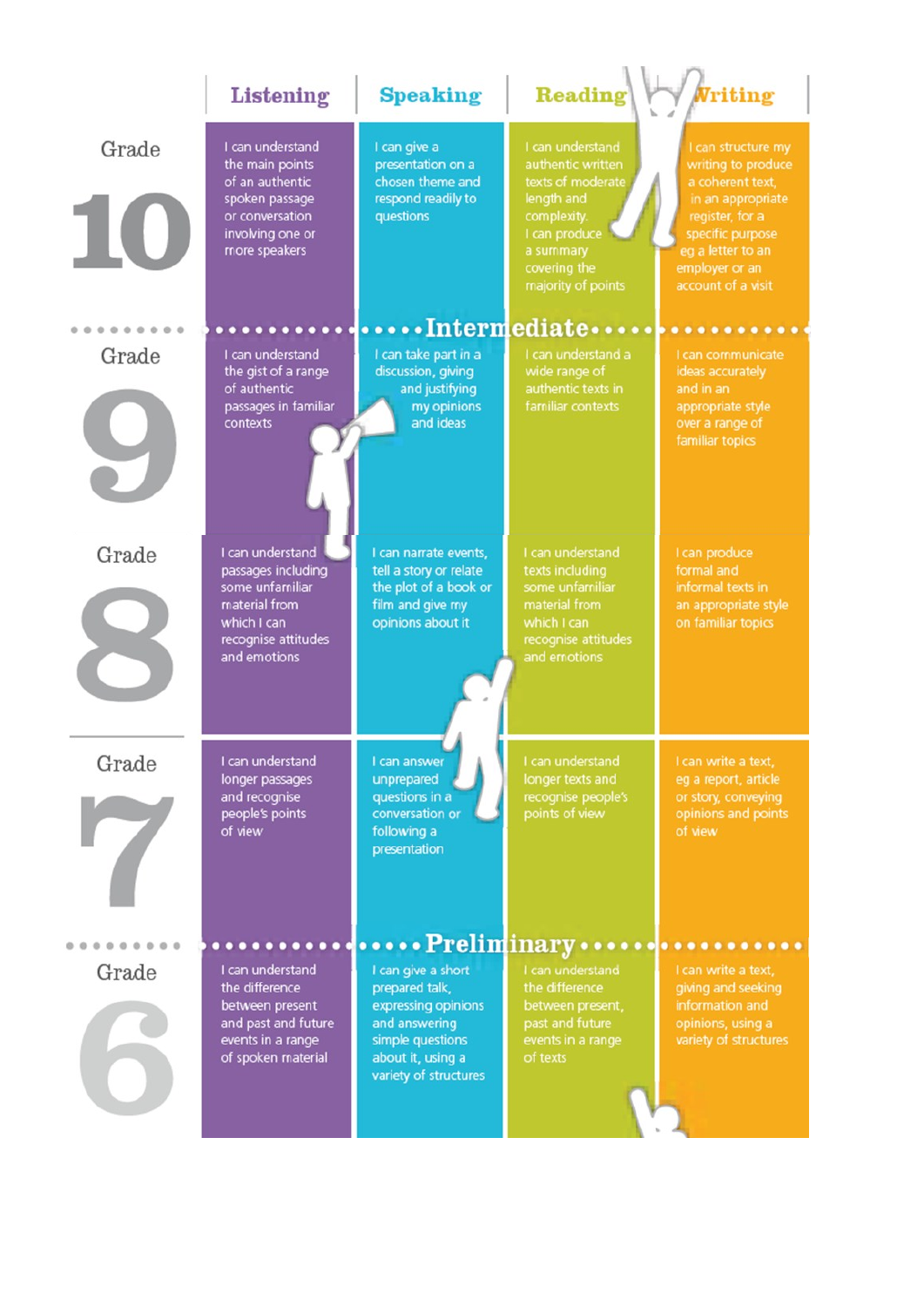|              | Listening                                                                                                                        | <b>Speaking</b>                                                                                                                                | <b>Reading</b>                                                                                                                                              | <b>Vriting</b>                                                                                                                                                                        |
|--------------|----------------------------------------------------------------------------------------------------------------------------------|------------------------------------------------------------------------------------------------------------------------------------------------|-------------------------------------------------------------------------------------------------------------------------------------------------------------|---------------------------------------------------------------------------------------------------------------------------------------------------------------------------------------|
| Grade<br>TU. | I can understand<br>the main points<br>of an authentic<br>spoken passage<br>or conversation<br>involving one or<br>more speakers | I can give a<br>presentation on a<br>chosen theme and<br>respond readily to<br>questions                                                       | I can understand<br>authentic written<br>texts of moderate<br>length and<br>complexity.<br>I can produce<br>a summary<br>covering the<br>majority of points | I can structure my<br>writing to produce<br>a coherent text,<br>in an appropriate<br>register, for a<br>specific purpose<br>eg a letter to an<br>employer or an<br>account of a visit |
|              |                                                                                                                                  |                                                                                                                                                |                                                                                                                                                             | Intermediate                                                                                                                                                                          |
| Grade        | I can understand<br>the gist of a range<br>of authentic<br>passages in familiar<br>contexts                                      | I can take part in a<br>discussion, giving<br>and justifying<br>my opinions<br>and ideas                                                       | I can understand a<br>wide range of<br>authentic texts in<br>familiar contexts                                                                              | I can communicate<br>ideas accurately<br>and in an<br>appropriate style<br>over a range of<br>familiar topics                                                                         |
| Grade        | I can understand<br>passages including<br>some unfamiliar<br>material from<br>which I can<br>recognise attitudes<br>and emotions | I can narrate events,<br>tell a story or relate<br>the plot of a book or<br>film and give my<br>opinions about it                              | I can understand<br>texts including<br>some unfamiliar<br>material from<br>which I can<br>recognise attitudes<br>and emotions                               | I can produce<br>formal and<br>informal texts in<br>an appropriate style<br>on familiar topics                                                                                        |
| Grade        | I can understand<br>longer passages<br>and recognise<br>people's points<br>of view                                               | I can answer<br>unprepared<br>questions in a<br>conversation or<br>following a<br>presentation                                                 | I can understand<br>longer texts and<br>recognise people's<br>points of view                                                                                | I can write a text.<br>eg a report, article<br>or story, conveying<br>opinions and points<br>of view                                                                                  |
| Grade        | I can understand<br>the difference<br>between present<br>and past and future<br>events in a range<br>of spoken material          | I can give a short<br>prepared talk,<br>expressing opinions<br>and answering<br>simple questions<br>about it, using a<br>variety of structures | Preliminary<br>I can understand<br>the difference<br>between present,<br>past and future<br>events in a range<br>of texts                                   | I can write a text,<br>giving and seeking<br>information and<br>opinions, using a<br>variety of structures                                                                            |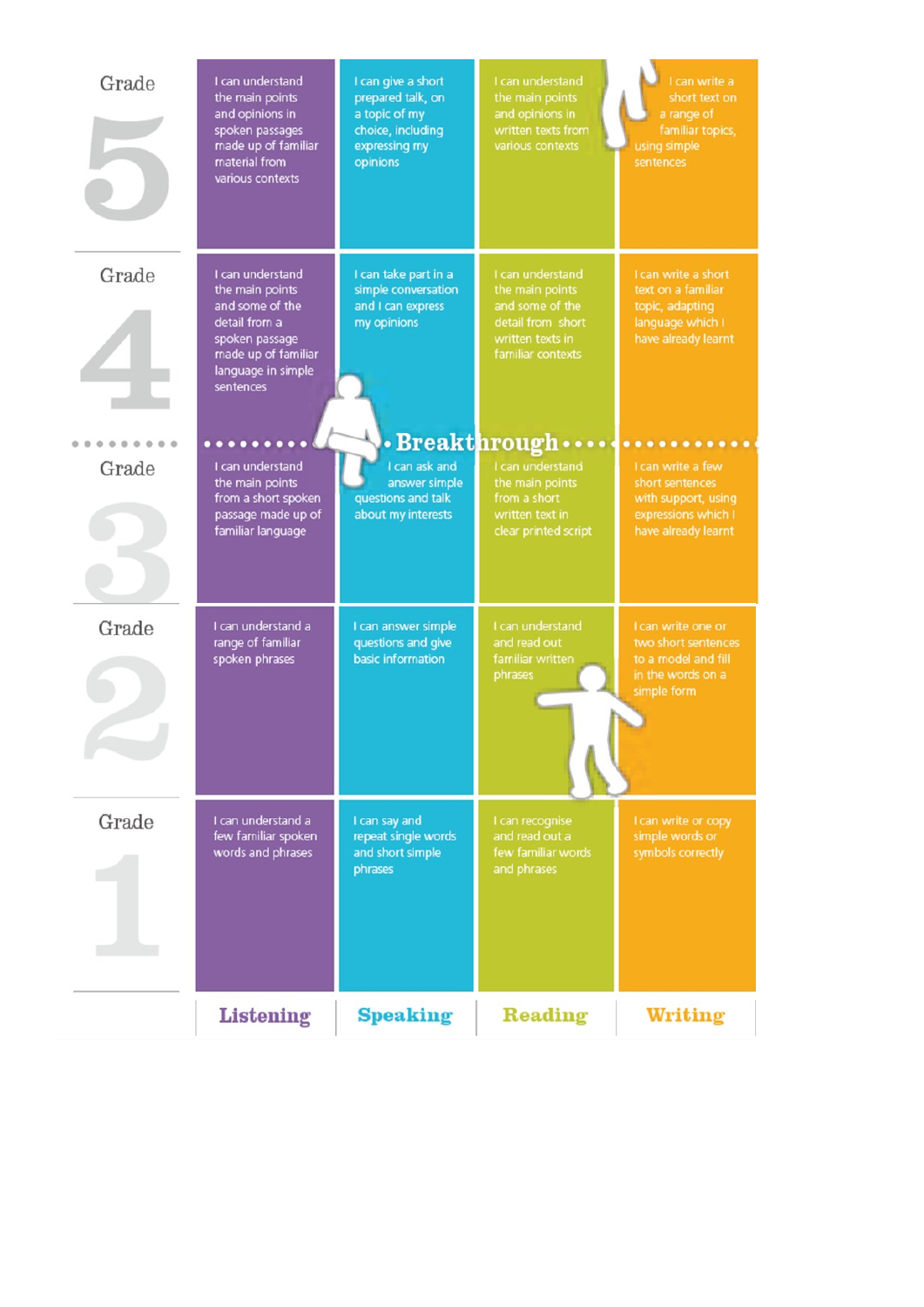| Grade | I can understand<br>the main points<br>and opinions in<br>spoken passages<br>made up of familiar<br>material from<br>various contexts               | I can give a short<br>prepared talk, on<br>a topic of my<br>choice, including<br>expressing my<br>opinions | I can understand<br>the main points<br>and opinions in<br>written texts from<br>various contexts                     | I can write a<br>short text on<br>a range of<br>familiar topics,<br>using simple<br>sentences           |
|-------|-----------------------------------------------------------------------------------------------------------------------------------------------------|------------------------------------------------------------------------------------------------------------|----------------------------------------------------------------------------------------------------------------------|---------------------------------------------------------------------------------------------------------|
| Grade | I can understand<br>the main points<br>and some of the<br>detail from a<br>spoken passage<br>made up of familiar<br>language in simple<br>sentences | I can take part in a<br>simple conversation<br>and I can express<br>my opinions                            | I can understand<br>the main points<br>and some of the<br>detail from short<br>written texts in<br>familiar contexts | I can write a short<br>text on a familiar<br>topic, adapting<br>language which I<br>have already learnt |
| Grade | I can understand<br>the main points                                                                                                                 | I can ask and<br>answer simple                                                                             | $\cdot$ Breakthrough $\cdots$<br>I can understand<br>the main points                                                 | .<br>I can write a few<br>short sentences                                                               |
|       | from a short spoken<br>passage made up of<br>familiar language                                                                                      | questions and talk<br>about my interests                                                                   | from a short<br>written text in<br>clear printed script                                                              | with support, using<br>expressions which I<br>have already learnt                                       |
| Grade | I can understand a<br>range of familiar                                                                                                             | I can answer simple<br>questions and give                                                                  | I can understand<br>and read out                                                                                     | I can write one or<br>two short sentences                                                               |
|       | spoken phrases                                                                                                                                      | basic information                                                                                          | familiar written<br>phrases                                                                                          | to a model and fill<br>in the words on a<br>simple form                                                 |
|       |                                                                                                                                                     |                                                                                                            |                                                                                                                      |                                                                                                         |
| Grade | I can understand a<br>few familiar spoken<br>words and phrases                                                                                      | I can say and<br>repeat single words<br>and short simple                                                   | I can recognise<br>and read out a<br>few familiar words                                                              | I can write or copy<br>simple words or<br>symbols correctly                                             |
|       |                                                                                                                                                     | phrases                                                                                                    | and phrases                                                                                                          |                                                                                                         |
|       | <b>Listening</b>                                                                                                                                    | <b>Speaking</b>                                                                                            | Reading                                                                                                              | <b>Writing</b>                                                                                          |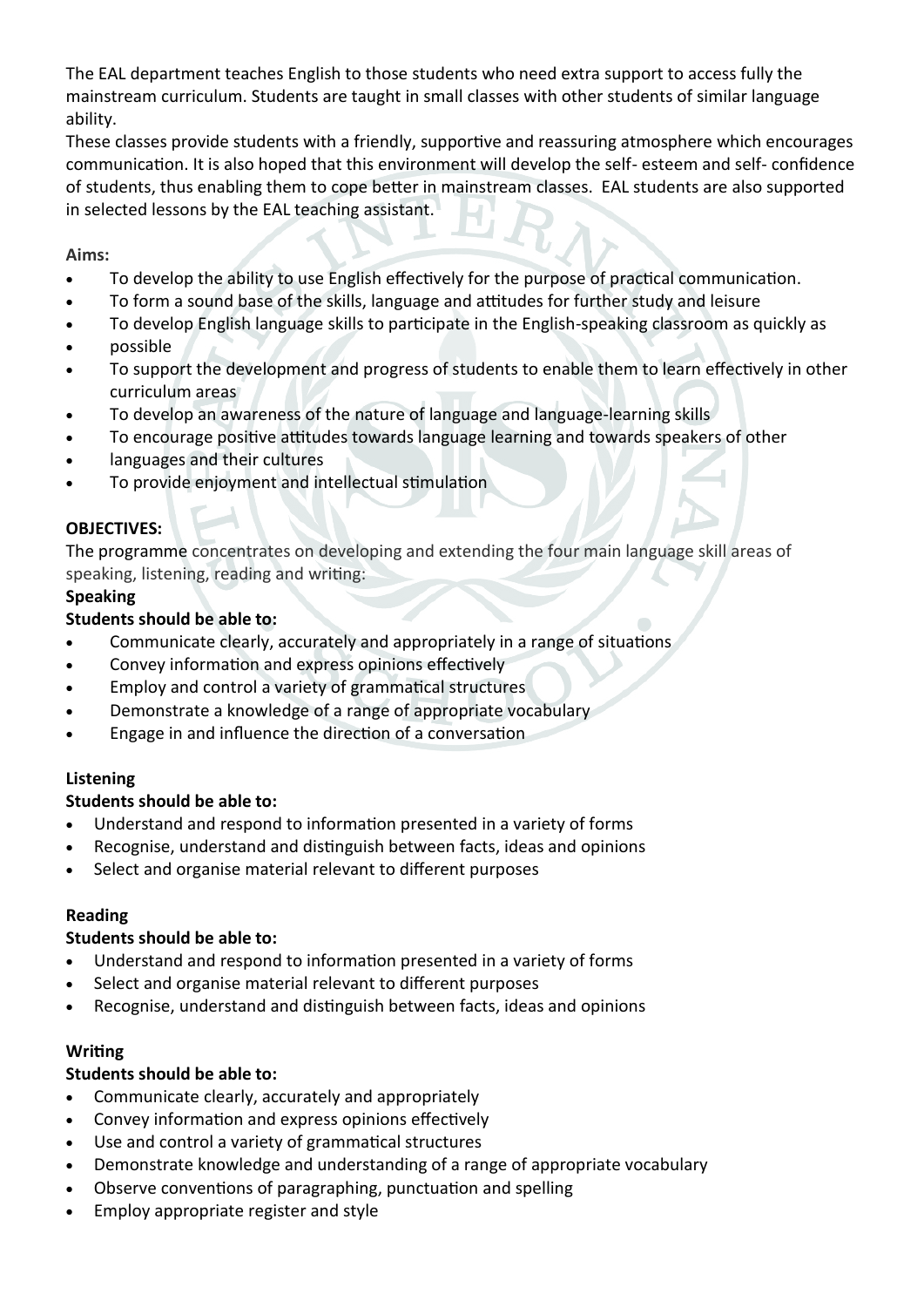The EAL department teaches English to those students who need extra support to access fully the mainstream curriculum. Students are taught in small classes with other students of similar language ability.

These classes provide students with a friendly, supportive and reassuring atmosphere which encourages communication. It is also hoped that this environment will develop the self- esteem and self- confidence of students, thus enabling them to cope better in mainstream classes. EAL students are also supported in selected lessons by the EAL teaching assistant.

## **Aims:**

- To develop the ability to use English effectively for the purpose of practical communication.
- To form a sound base of the skills, language and attitudes for further study and leisure
- To develop English language skills to participate in the English-speaking classroom as quickly as
- possible
- To support the development and progress of students to enable them to learn effectively in other curriculum areas
- To develop an awareness of the nature of language and language-learning skills
- To encourage positive attitudes towards language learning and towards speakers of other
- languages and their cultures
- To provide enjoyment and intellectual stimulation

## **OBJECTIVES:**

The programme concentrates on developing and extending the four main language skill areas of speaking, listening, reading and writing:

## **Speaking**

## **Students should be able to:**

- Communicate clearly, accurately and appropriately in a range of situations
- Convey information and express opinions effectively
- Employ and control a variety of grammatical structures
- Demonstrate a knowledge of a range of appropriate vocabulary
- Engage in and influence the direction of a conversation

#### **Listening**

# **Students should be able to:**

- Understand and respond to information presented in a variety of forms
- Recognise, understand and distinguish between facts, ideas and opinions
- Select and organise material relevant to different purposes

#### **Reading**

# **Students should be able to:**

- Understand and respond to information presented in a variety of forms
- Select and organise material relevant to different purposes
- Recognise, understand and distinguish between facts, ideas and opinions

#### **Writing**

#### **Students should be able to:**

- Communicate clearly, accurately and appropriately
- Convey information and express opinions effectively
- Use and control a variety of grammatical structures
- Demonstrate knowledge and understanding of a range of appropriate vocabulary
- Observe conventions of paragraphing, punctuation and spelling
- Employ appropriate register and style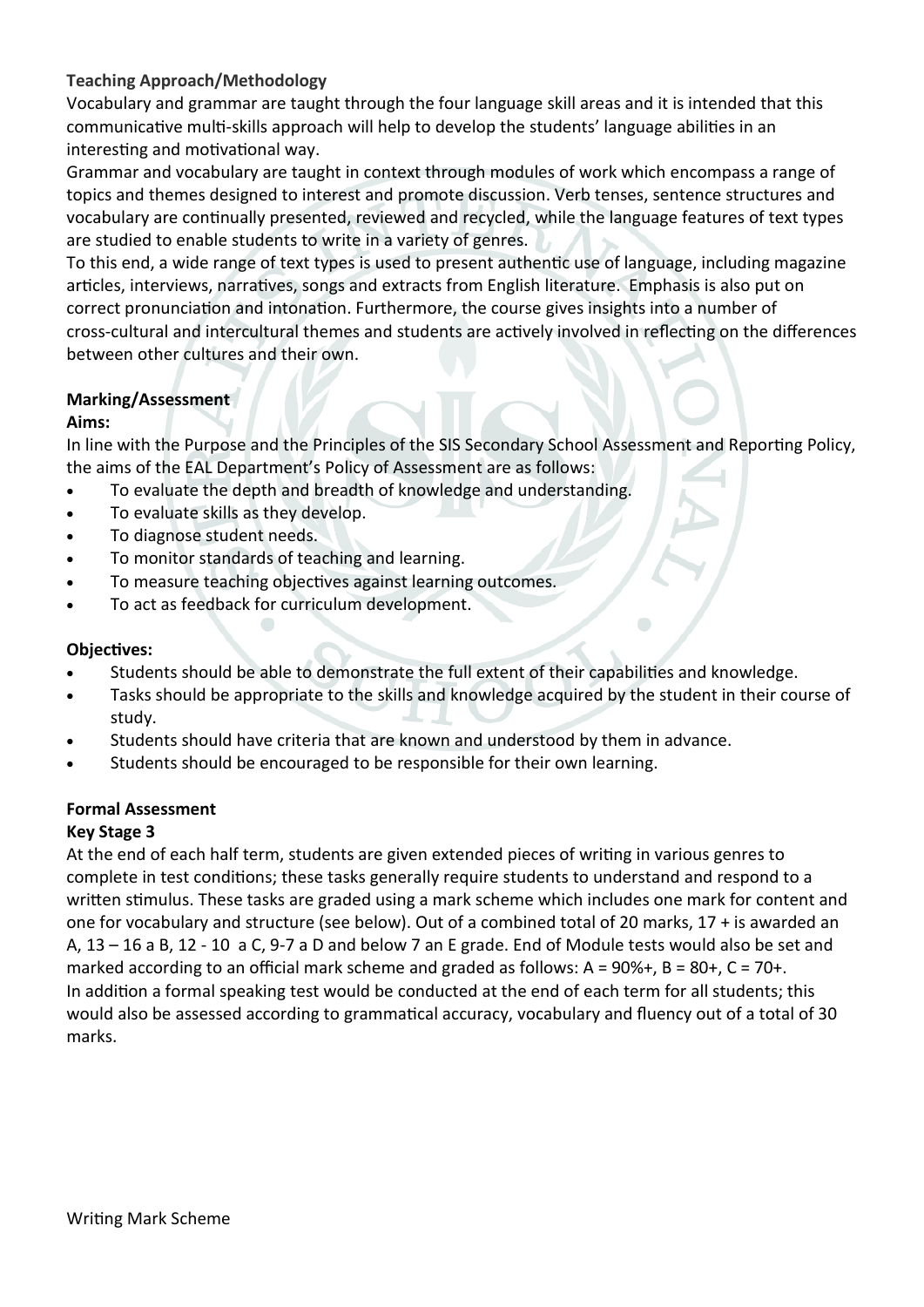## **Teaching Approach/Methodology**

Vocabulary and grammar are taught through the four language skill areas and it is intended that this communicative multi-skills approach will help to develop the students' language abilities in an interesting and motivational way.

Grammar and vocabulary are taught in context through modules of work which encompass a range of topics and themes designed to interest and promote discussion. Verb tenses, sentence structures and vocabulary are continually presented, reviewed and recycled, while the language features of text types are studied to enable students to write in a variety of genres.

To this end, a wide range of text types is used to present authentic use of language, including magazine articles, interviews, narratives, songs and extracts from English literature. Emphasis is also put on correct pronunciation and intonation. Furthermore, the course gives insights into a number of cross-cultural and intercultural themes and students are actively involved in reflecting on the differences between other cultures and their own.

#### **Marking/Assessment**

#### **Aims:**

In line with the Purpose and the Principles of the SIS Secondary School Assessment and Reporting Policy, the aims of the EAL Department's Policy of Assessment are as follows:

- To evaluate the depth and breadth of knowledge and understanding.
- To evaluate skills as they develop.
- To diagnose student needs.
- To monitor standards of teaching and learning.
- To measure teaching objectives against learning outcomes.
- To act as feedback for curriculum development.

#### **Objectives:**

- Students should be able to demonstrate the full extent of their capabilities and knowledge.
- Tasks should be appropriate to the skills and knowledge acquired by the student in their course of study.
- Students should have criteria that are known and understood by them in advance.
- Students should be encouraged to be responsible for their own learning.

#### **Formal Assessment**

#### **Key Stage 3**

At the end of each half term, students are given extended pieces of writing in various genres to complete in test conditions; these tasks generally require students to understand and respond to a written stimulus. These tasks are graded using a mark scheme which includes one mark for content and one for vocabulary and structure (see below). Out of a combined total of 20 marks, 17 + is awarded an A, 13 – 16 a B, 12 - 10 a C, 9-7 a D and below 7 an E grade. End of Module tests would also be set and marked according to an official mark scheme and graded as follows:  $A = 90\% +$ ,  $B = 80 +$ ,  $C = 70 +$ . In addition a formal speaking test would be conducted at the end of each term for all students; this would also be assessed according to grammatical accuracy, vocabulary and fluency out of a total of 30 marks.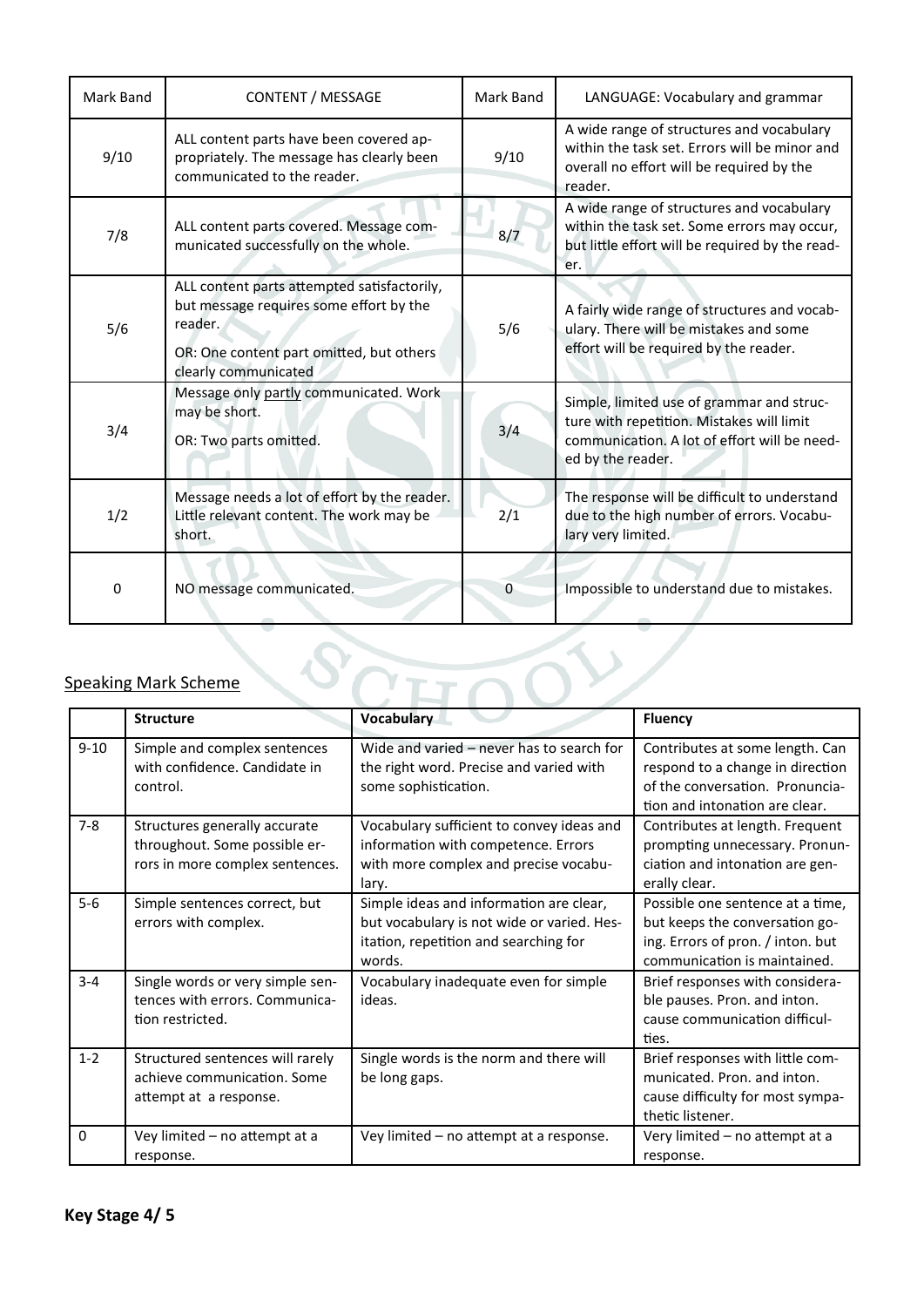| Mark Band | <b>CONTENT / MESSAGE</b>                                                                                                                                              | Mark Band    | LANGUAGE: Vocabulary and grammar                                                                                                                            |  |
|-----------|-----------------------------------------------------------------------------------------------------------------------------------------------------------------------|--------------|-------------------------------------------------------------------------------------------------------------------------------------------------------------|--|
| 9/10      | ALL content parts have been covered ap-<br>propriately. The message has clearly been<br>communicated to the reader.                                                   | 9/10         | A wide range of structures and vocabulary<br>within the task set. Errors will be minor and<br>overall no effort will be required by the<br>reader.          |  |
| 7/8       | ALL content parts covered. Message com-<br>municated successfully on the whole.                                                                                       | 8/7          | A wide range of structures and vocabulary<br>within the task set. Some errors may occur,<br>but little effort will be required by the read-<br>er.          |  |
| 5/6       | ALL content parts attempted satisfactorily,<br>but message requires some effort by the<br>reader.<br>OR: One content part omitted, but others<br>clearly communicated | 5/6          | A fairly wide range of structures and vocab-<br>ulary. There will be mistakes and some<br>effort will be required by the reader.                            |  |
| 3/4       | Message only partly communicated. Work<br>may be short.<br>OR: Two parts omitted.                                                                                     | 3/4          | Simple, limited use of grammar and struc-<br>ture with repetition. Mistakes will limit<br>communication. A lot of effort will be need-<br>ed by the reader. |  |
| 1/2       | Message needs a lot of effort by the reader.<br>Little relevant content. The work may be<br>short.                                                                    | 2/1          | The response will be difficult to understand<br>due to the high number of errors. Vocabu-<br>lary very limited.                                             |  |
| $\Omega$  | NO message communicated.                                                                                                                                              | $\mathbf{0}$ | Impossible to understand due to mistakes.                                                                                                                   |  |

# Speaking Mark Scheme

|          | <b>Structure</b>                                                                                  | <b>Vocabulary</b>                                                                                                                        | <b>Fluency</b>                                                                                                                           |
|----------|---------------------------------------------------------------------------------------------------|------------------------------------------------------------------------------------------------------------------------------------------|------------------------------------------------------------------------------------------------------------------------------------------|
| $9 - 10$ | Simple and complex sentences<br>with confidence. Candidate in<br>control.                         | Wide and varied - never has to search for<br>the right word. Precise and varied with<br>some sophistication.                             | Contributes at some length. Can<br>respond to a change in direction<br>of the conversation. Pronuncia-<br>tion and intonation are clear. |
| $7 - 8$  | Structures generally accurate<br>throughout. Some possible er-<br>rors in more complex sentences. | Vocabulary sufficient to convey ideas and<br>information with competence. Errors<br>with more complex and precise vocabu-<br>lary.       | Contributes at length. Frequent<br>prompting unnecessary. Pronun-<br>ciation and intonation are gen-<br>erally clear.                    |
| $5-6$    | Simple sentences correct, but<br>errors with complex.                                             | Simple ideas and information are clear,<br>but vocabulary is not wide or varied. Hes-<br>itation, repetition and searching for<br>words. | Possible one sentence at a time,<br>but keeps the conversation go-<br>ing. Errors of pron. / inton. but<br>communication is maintained.  |
| $3 - 4$  | Single words or very simple sen-<br>tences with errors. Communica-<br>tion restricted.            | Vocabulary inadequate even for simple<br>ideas.                                                                                          | Brief responses with considera-<br>ble pauses. Pron. and inton.<br>cause communication difficul-<br>ties.                                |
| $1 - 2$  | Structured sentences will rarely<br>achieve communication. Some<br>attempt at a response.         | Single words is the norm and there will<br>be long gaps.                                                                                 | Brief responses with little com-<br>municated. Pron. and inton.<br>cause difficulty for most sympa-<br>thetic listener.                  |
| $\Omega$ | Vey limited - no attempt at a<br>response.                                                        | Vey limited - no attempt at a response.                                                                                                  | Very limited - no attempt at a<br>response.                                                                                              |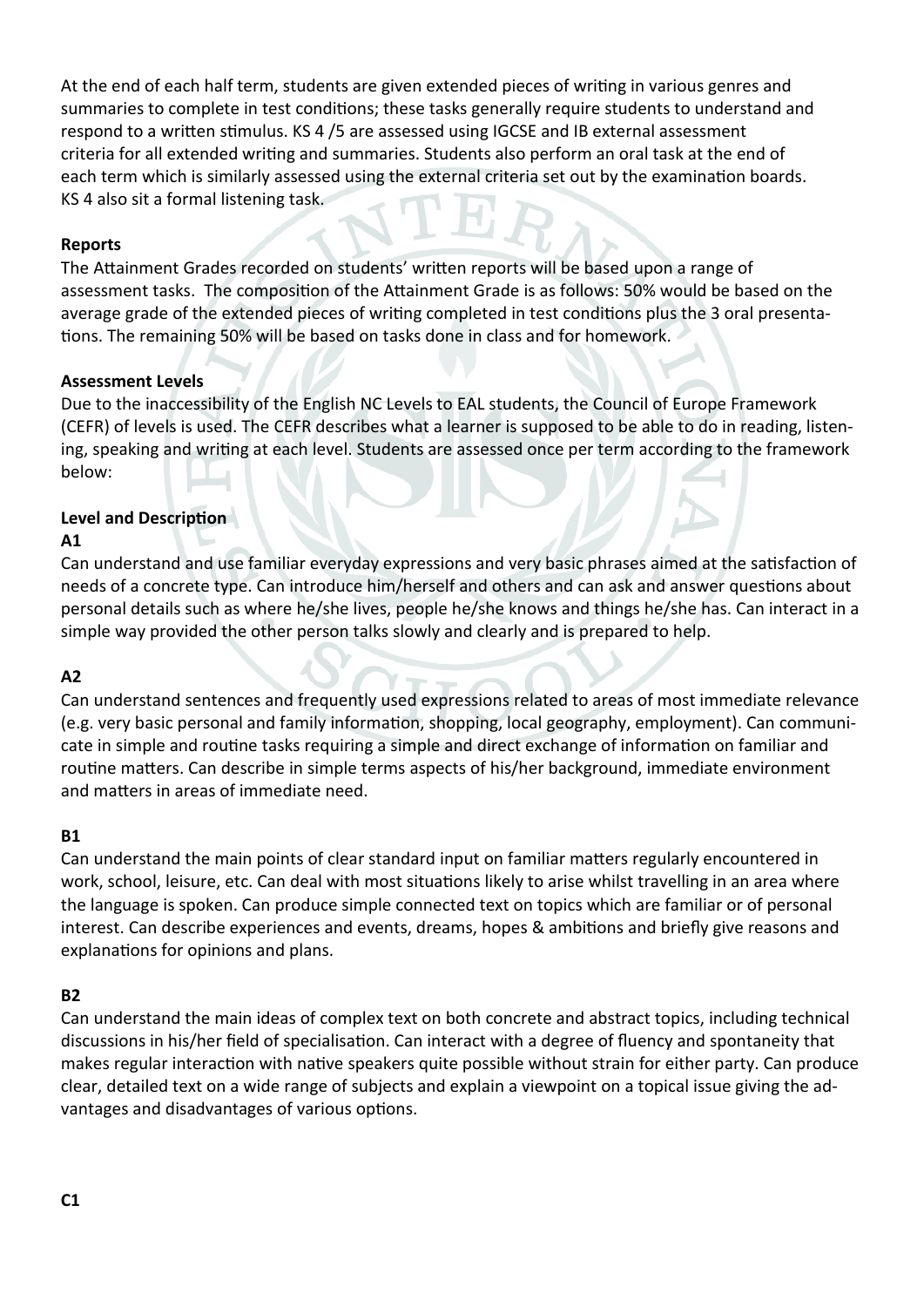At the end of each half term, students are given extended pieces of writing in various genres and summaries to complete in test conditions; these tasks generally require students to understand and respond to a written stimulus. KS 4 /5 are assessed using IGCSE and IB external assessment criteria for all extended writing and summaries. Students also perform an oral task at the end of each term which is similarly assessed using the external criteria set out by the examination boards. KS 4 also sit a formal listening task.

#### **Reports**

The Attainment Grades recorded on students' written reports will be based upon a range of assessment tasks. The composition of the Attainment Grade is as follows: 50% would be based on the average grade of the extended pieces of writing completed in test conditions plus the 3 oral presentations. The remaining 50% will be based on tasks done in class and for homework.

#### **Assessment Levels**

Due to the inaccessibility of the English NC Levels to EAL students, the Council of Europe Framework (CEFR) of levels is used. The CEFR describes what a learner is supposed to be able to do in reading, listening, speaking and writing at each level. Students are assessed once per term according to the framework below:

## **Level and Description**

#### **A1**

Can understand and use familiar everyday expressions and very basic phrases aimed at the satisfaction of needs of a concrete type. Can introduce him/herself and others and can ask and answer questions about personal details such as where he/she lives, people he/she knows and things he/she has. Can interact in a simple way provided the other person talks slowly and clearly and is prepared to help.

#### **A2**

Can understand sentences and frequently used expressions related to areas of most immediate relevance (e.g. very basic personal and family information, shopping, local geography, employment). Can communicate in simple and routine tasks requiring a simple and direct exchange of information on familiar and routine matters. Can describe in simple terms aspects of his/her background, immediate environment and matters in areas of immediate need.

#### **B1**

Can understand the main points of clear standard input on familiar matters regularly encountered in work, school, leisure, etc. Can deal with most situations likely to arise whilst travelling in an area where the language is spoken. Can produce simple connected text on topics which are familiar or of personal interest. Can describe experiences and events, dreams, hopes & ambitions and briefly give reasons and explanations for opinions and plans.

#### **B2**

Can understand the main ideas of complex text on both concrete and abstract topics, including technical discussions in his/her field of specialisation. Can interact with a degree of fluency and spontaneity that makes regular interaction with native speakers quite possible without strain for either party. Can produce clear, detailed text on a wide range of subjects and explain a viewpoint on a topical issue giving the advantages and disadvantages of various options.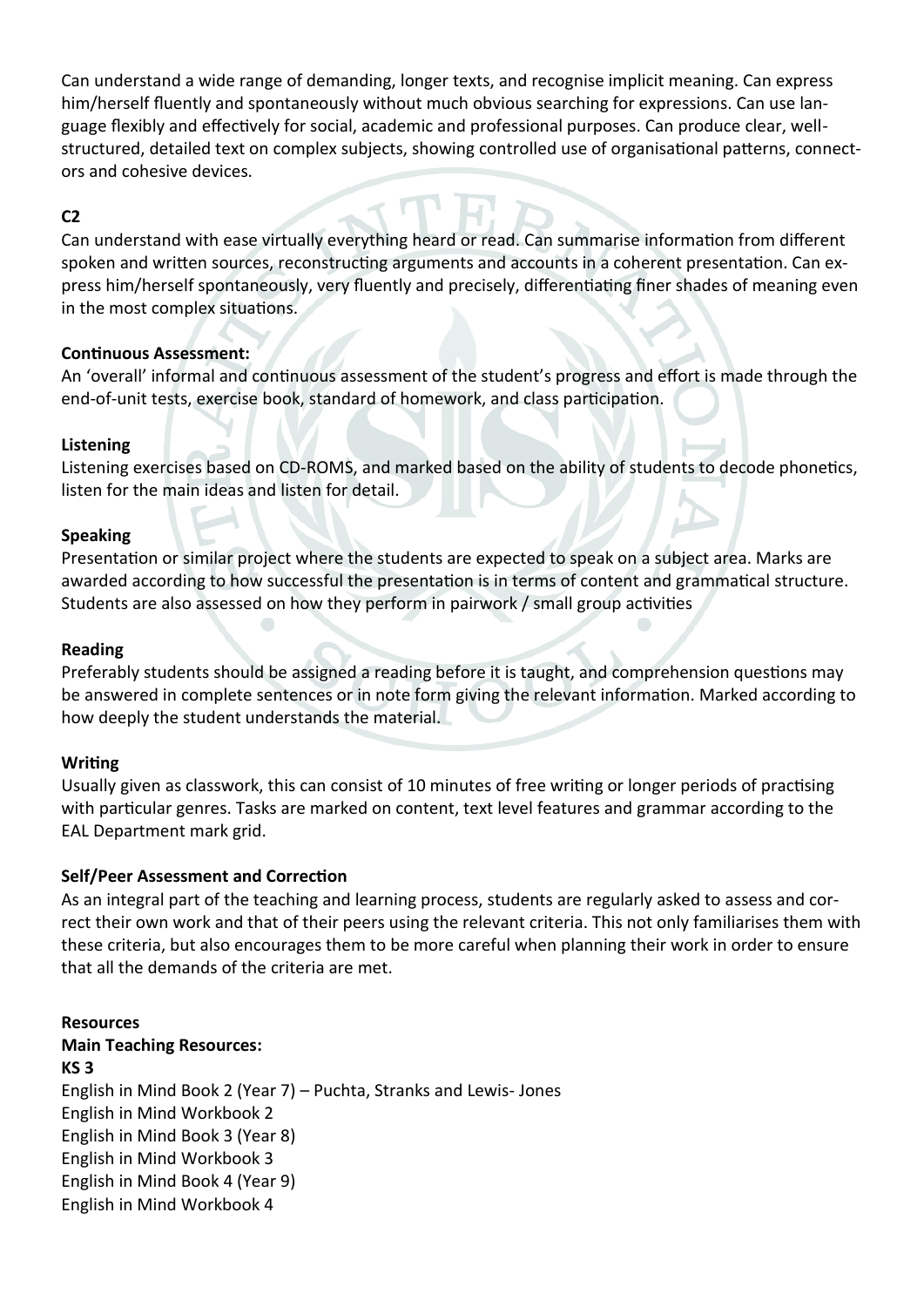Can understand a wide range of demanding, longer texts, and recognise implicit meaning. Can express him/herself fluently and spontaneously without much obvious searching for expressions. Can use language flexibly and effectively for social, academic and professional purposes. Can produce clear, wellstructured, detailed text on complex subjects, showing controlled use of organisational patterns, connectors and cohesive devices.

## **C2**

Can understand with ease virtually everything heard or read. Can summarise information from different spoken and written sources, reconstructing arguments and accounts in a coherent presentation. Can express him/herself spontaneously, very fluently and precisely, differentiating finer shades of meaning even in the most complex situations.

#### **Continuous Assessment:**

An 'overall' informal and continuous assessment of the student's progress and effort is made through the end-of-unit tests, exercise book, standard of homework, and class participation.

#### **Listening**

Listening exercises based on CD-ROMS, and marked based on the ability of students to decode phonetics, listen for the main ideas and listen for detail.

#### **Speaking**

Presentation or similar project where the students are expected to speak on a subject area. Marks are awarded according to how successful the presentation is in terms of content and grammatical structure. Students are also assessed on how they perform in pairwork / small group activities

#### **Reading**

Preferably students should be assigned a reading before it is taught, and comprehension questions may be answered in complete sentences or in note form giving the relevant information. Marked according to how deeply the student understands the material.

#### **Writing**

Usually given as classwork, this can consist of 10 minutes of free writing or longer periods of practising with particular genres. Tasks are marked on content, text level features and grammar according to the EAL Department mark grid.

#### **Self/Peer Assessment and Correction**

As an integral part of the teaching and learning process, students are regularly asked to assess and correct their own work and that of their peers using the relevant criteria. This not only familiarises them with these criteria, but also encourages them to be more careful when planning their work in order to ensure that all the demands of the criteria are met.

#### **Resources**

**Main Teaching Resources: KS 3** English in Mind Book 2 (Year 7) – Puchta, Stranks and Lewis- Jones English in Mind Workbook 2 English in Mind Book 3 (Year 8) English in Mind Workbook 3 English in Mind Book 4 (Year 9) English in Mind Workbook 4